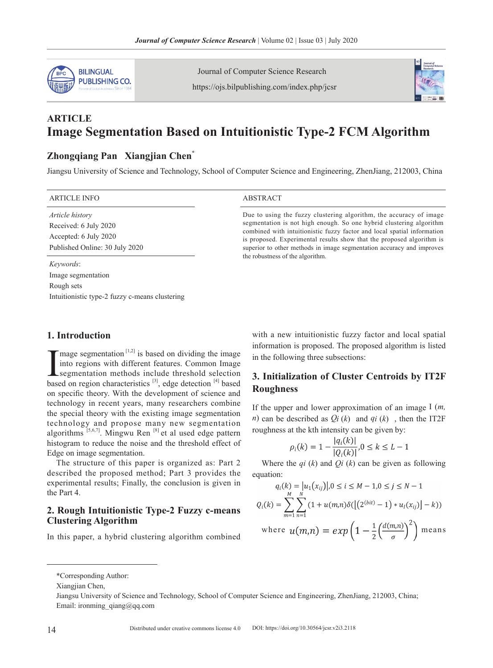

Journal of Computer Science Research

https://ojs.bilpublishing.com/index.php/jcsr



# **ARTICLE Image Segmentation Based on Intuitionistic Type-2 FCM Algorithm**

## **Zhongqiang Pan Xiangjian Chen\***

Jiangsu University of Science and Technology, School of Computer Science and Engineering, ZhenJiang, 212003, China

#### ARTICLE INFO ABSTRACT

*Article history* Received: 6 July 2020 Accepted: 6 July 2020 Published Online: 30 July 2020

Due to using the fuzzy clustering algorithm, the accuracy of image segmentation is not high enough. So one hybrid clustering algorithm combined with intuitionistic fuzzy factor and local spatial information is proposed. Experimental results show that the proposed algorithm is superior to other methods in image segmentation accuracy and improves the robustness of the algorithm.

#### *Keywords*:

Image segmentation Rough sets Intuitionistic type-2 fuzzy c-means clustering

### **1. Introduction**

I mage segmentation<sup>[1,2]</sup> is based on dividing the image into regions with different features. Common Image segmentation methods include threshold selection based on region characteristics <sup>[3]</sup>, edge detection  $^{[4]}$  ba mage segmentation  $[1,2]$  is based on dividing the image into regions with different features. Common Image segmentation methods include threshold selection on specific theory. With the development of science and technology in recent years, many researchers combine the special theory with the existing image segmentation technology and propose many new segmentation algorithms  $[5,6,7]$ . Mingwu Ren  $[8]$  et al used edge pattern histogram to reduce the noise and the threshold effect of Edge on image segmentation.

The structure of this paper is organized as: Part 2 described the proposed method; Part 3 provides the experimental results; Finally, the conclusion is given in the Part 4.

### **2. Rough Intuitionistic Type-2 Fuzzy c-means Clustering Algorithm**

In this paper, a hybrid clustering algorithm combined

with a new intuitionistic fuzzy factor and local spatial information is proposed. The proposed algorithm is listed in the following three subsections:

## **3. Initialization of Cluster Centroids by IT2F Roughness**

If the upper and lower approximation of an image I (*m, n*) can be described as  $Q_i(k)$  and  $q_i(k)$ , then the IT2F roughness at the kth intensity can be given by:

$$
\rho_i(k) = 1 - \frac{|q_i(k)|}{|Q_i(k)|}, 0 \le k \le L - 1
$$

Where the *qi* (*k*) and *Qi* (*k*) can be given as following equation:

$$
q_i(k) = |u_1(x_{ij})|, 0 \le i \le M - 1, 0 \le j \le N - 1
$$
  

$$
Q_i(k) = \sum_{m=1}^{M} \sum_{n=1}^{N} (1 + u(m,n)\delta(\left| (2^{(bit)} - 1) * u_i(x_{ij}) \right| - k))
$$
  
where  $u(m,n) = exp\left(1 - \frac{1}{2} \left(\frac{d(m,n)}{\sigma}\right)^2\right)$  means

<sup>\*</sup>Corresponding Author:

Xiangjian Chen,

Jiangsu University of Science and Technology, School of Computer Science and Engineering, ZhenJiang, 212003, China; Email: ironming  $\text{qiang}(\partial \text{qq.com})$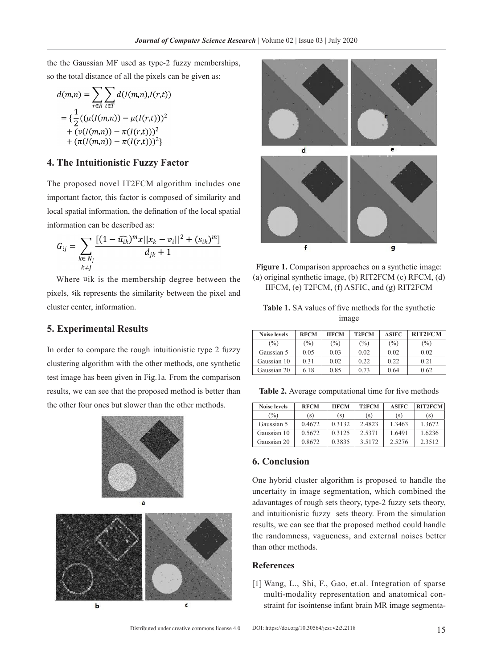the the Gaussian MF used as type-2 fuzzy memberships, so the total distance of all the pixels can be given as:

$$
d(m,n) = \sum_{r \in R} \sum_{t \in T} d(I(m,n), I(r,t))
$$
  
= {  $\frac{1}{2}$  (  $(\mu(I(m,n)) - \mu(I(r,t)))^2$   
+  $(\nu(I(m,n)) - \pi(I(r,t)))^2$   
+  $(\pi(I(m,n)) - \pi(I(r,t)))^2$ }

### **4. The Intuitionistic Fuzzy Factor**

The proposed novel IT2FCM algorithm includes one important factor, this factor is composed of similarity and local spatial information, the defination of the local spatial information can be described as:

$$
G_{ij} = \sum_{\substack{k \in N_j \\ k \neq i}} \frac{[(1 - \widehat{u_{ik}})^m x ||x_k - v_i||^2 + (s_{ik})^m]}{d_{jk} + 1}
$$

Where uik is the membership degree between the pixels, sik represents the similarity between the pixel and cluster center, information.

## **5. Experimental Results**

In order to compare the rough intuitionistic type 2 fuzzy clustering algorithm with the other methods, one synthetic test image has been given in Fig.1a. From the comparison results, we can see that the proposed method is better than the other four ones but slower than the other methods.





Figure 1. Comparison approaches on a synthetic image: (a) original synthetic image, (b) RIT2FCM (c) RFCM, (d) IIFCM, (e) T2FCM, (f) ASFIC, and (g) RIT2FCM

**Table 1.** SA values of five methods for the synthetic image

| <b>Noise levels</b> | <b>RFCM</b> | <b>IIFCM</b> | <b>T2FCM</b> | <b>ASIFC</b>   | <b>RIT2FCM</b> |
|---------------------|-------------|--------------|--------------|----------------|----------------|
| $(\%)$              | $(\%)$      | (%)          | $(\%)$       | $\binom{0}{0}$ | $(\%)$         |
| Gaussian 5          | 0.05        | 0.03         | 0.02         | 0.02           | 0.02           |
| Gaussian 10         | 0.31        | 0.02         | 0.22         | 0.22           | 0.21           |
| Gaussian 20         | 6.18        | 0.85         | 0.73         | 0.64           | 0.62           |

**Table 2.** Average computational time for five methods

| <b>Noise levels</b> | <b>RFCM</b> | <b>IIFCM</b> | <b>T2FCM</b> | <b>ASIFC</b> | <b>RIT2FCM</b> |
|---------------------|-------------|--------------|--------------|--------------|----------------|
| $(\%)$              | (s)         | (s)          | (S)          | (s)          | (S)            |
| Gaussian 5          | 0.4672      | 0.3132       | 2.4823       | 1.3463       | 1.3672         |
| Gaussian 10         | 0.5672      | 0.3125       | 2.5371       | 1.6491       | 1.6236         |
| Gaussian 20         | 0.8672      | 0.3835       | 3.5172       | 2.5276       | 2.3512         |

### **6. Conclusion**

One hybrid cluster algorithm is proposed to handle the uncertaity in image segmentation, which combined the adavantages of rough sets theory, type-2 fuzzy sets theory, and intuitionistic fuzzy sets theory. From the simulation results, we can see that the proposed method could handle the randomness, vagueness, and external noises better than other methods.

#### **References**

[1] Wang, L., Shi, F., Gao, et.al. Integration of sparse multi-modality representation and anatomical constraint for isointense infant brain MR image segmenta